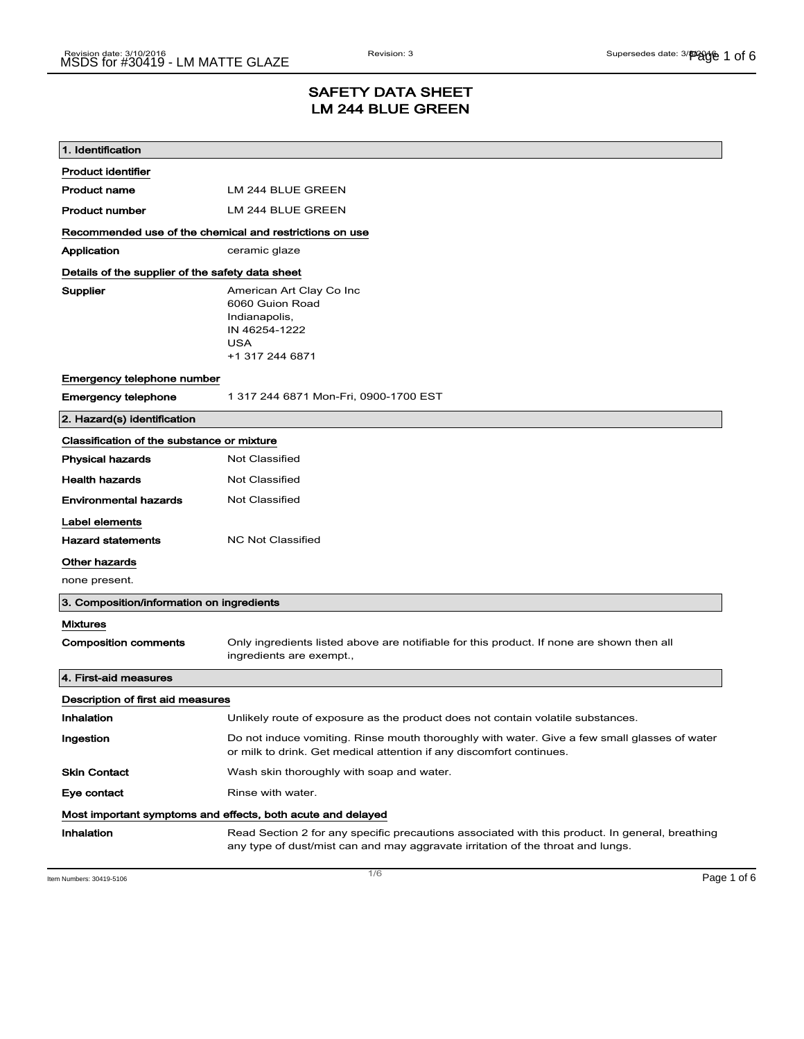## SAFETY DATA SHEET LM 244 BLUE GREEN

| 1. Identification                                           |                                                                                                                                                                                    |  |
|-------------------------------------------------------------|------------------------------------------------------------------------------------------------------------------------------------------------------------------------------------|--|
| <b>Product identifier</b>                                   |                                                                                                                                                                                    |  |
| <b>Product name</b>                                         | LM 244 BLUE GREEN                                                                                                                                                                  |  |
| <b>Product number</b>                                       | LM 244 BLUE GREEN                                                                                                                                                                  |  |
| Recommended use of the chemical and restrictions on use     |                                                                                                                                                                                    |  |
| Application                                                 | ceramic glaze                                                                                                                                                                      |  |
| Details of the supplier of the safety data sheet            |                                                                                                                                                                                    |  |
| Supplier                                                    | American Art Clay Co Inc<br>6060 Guion Road<br>Indianapolis,<br>IN 46254-1222<br><b>USA</b><br>+1 317 244 6871                                                                     |  |
| Emergency telephone number                                  |                                                                                                                                                                                    |  |
| <b>Emergency telephone</b>                                  | 1 317 244 6871 Mon-Fri, 0900-1700 EST                                                                                                                                              |  |
| 2. Hazard(s) identification                                 |                                                                                                                                                                                    |  |
| Classification of the substance or mixture                  |                                                                                                                                                                                    |  |
| <b>Physical hazards</b>                                     | <b>Not Classified</b>                                                                                                                                                              |  |
| <b>Health hazards</b>                                       | <b>Not Classified</b>                                                                                                                                                              |  |
| <b>Environmental hazards</b>                                | Not Classified                                                                                                                                                                     |  |
| Label elements                                              |                                                                                                                                                                                    |  |
| <b>Hazard statements</b>                                    | <b>NC Not Classified</b>                                                                                                                                                           |  |
| Other hazards                                               |                                                                                                                                                                                    |  |
| none present.                                               |                                                                                                                                                                                    |  |
| 3. Composition/information on ingredients                   |                                                                                                                                                                                    |  |
| <b>Mixtures</b>                                             |                                                                                                                                                                                    |  |
| <b>Composition comments</b>                                 | Only ingredients listed above are notifiable for this product. If none are shown then all<br>ingredients are exempt.,                                                              |  |
| 4. First-aid measures                                       |                                                                                                                                                                                    |  |
| Description of first aid measures                           |                                                                                                                                                                                    |  |
| Inhalation                                                  | Unlikely route of exposure as the product does not contain volatile substances.                                                                                                    |  |
| Ingestion                                                   | Do not induce vomiting. Rinse mouth thoroughly with water. Give a few small glasses of water<br>or milk to drink. Get medical attention if any discomfort continues.               |  |
| <b>Skin Contact</b>                                         | Wash skin thoroughly with soap and water.                                                                                                                                          |  |
| Eye contact                                                 | Rinse with water.                                                                                                                                                                  |  |
| Most important symptoms and effects, both acute and delayed |                                                                                                                                                                                    |  |
| Inhalation                                                  | Read Section 2 for any specific precautions associated with this product. In general, breathing<br>any type of dust/mist can and may aggravate irritation of the throat and lungs. |  |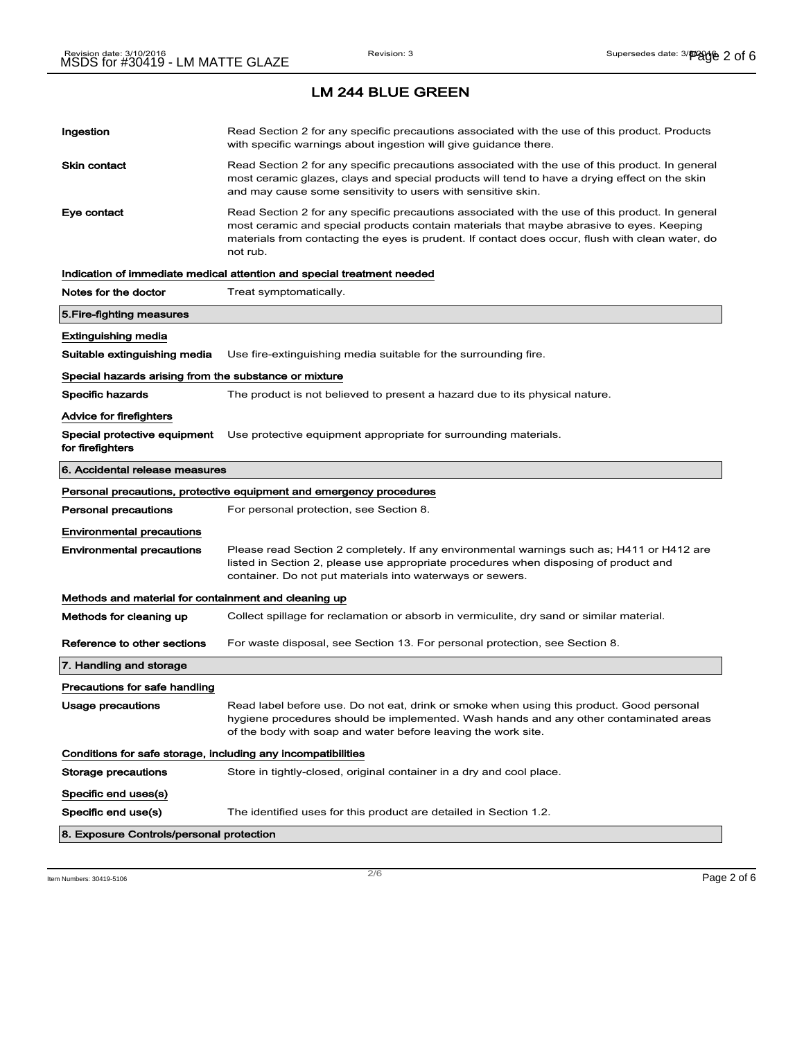| Ingestion                                                    | Read Section 2 for any specific precautions associated with the use of this product. Products<br>with specific warnings about ingestion will give guidance there.                                                                                                                                           |  |
|--------------------------------------------------------------|-------------------------------------------------------------------------------------------------------------------------------------------------------------------------------------------------------------------------------------------------------------------------------------------------------------|--|
| <b>Skin contact</b>                                          | Read Section 2 for any specific precautions associated with the use of this product. In general<br>most ceramic glazes, clays and special products will tend to have a drying effect on the skin<br>and may cause some sensitivity to users with sensitive skin.                                            |  |
| Eye contact                                                  | Read Section 2 for any specific precautions associated with the use of this product. In general<br>most ceramic and special products contain materials that maybe abrasive to eyes. Keeping<br>materials from contacting the eyes is prudent. If contact does occur, flush with clean water, do<br>not rub. |  |
|                                                              | Indication of immediate medical attention and special treatment needed                                                                                                                                                                                                                                      |  |
| Notes for the doctor                                         | Treat symptomatically.                                                                                                                                                                                                                                                                                      |  |
| 5. Fire-fighting measures                                    |                                                                                                                                                                                                                                                                                                             |  |
| Extinguishing media                                          |                                                                                                                                                                                                                                                                                                             |  |
| Suitable extinguishing media                                 | Use fire-extinguishing media suitable for the surrounding fire.                                                                                                                                                                                                                                             |  |
| Special hazards arising from the substance or mixture        |                                                                                                                                                                                                                                                                                                             |  |
| <b>Specific hazards</b>                                      | The product is not believed to present a hazard due to its physical nature.                                                                                                                                                                                                                                 |  |
| Advice for firefighters                                      |                                                                                                                                                                                                                                                                                                             |  |
| Special protective equipment<br>for firefighters             | Use protective equipment appropriate for surrounding materials.                                                                                                                                                                                                                                             |  |
| 6. Accidental release measures                               |                                                                                                                                                                                                                                                                                                             |  |
|                                                              | Personal precautions, protective equipment and emergency procedures                                                                                                                                                                                                                                         |  |
| <b>Personal precautions</b>                                  | For personal protection, see Section 8.                                                                                                                                                                                                                                                                     |  |
| <b>Environmental precautions</b>                             |                                                                                                                                                                                                                                                                                                             |  |
| <b>Environmental precautions</b>                             | Please read Section 2 completely. If any environmental warnings such as; H411 or H412 are<br>listed in Section 2, please use appropriate procedures when disposing of product and<br>container. Do not put materials into waterways or sewers.                                                              |  |
| Methods and material for containment and cleaning up         |                                                                                                                                                                                                                                                                                                             |  |
| Methods for cleaning up                                      | Collect spillage for reclamation or absorb in vermiculite, dry sand or similar material.                                                                                                                                                                                                                    |  |
| Reference to other sections                                  | For waste disposal, see Section 13. For personal protection, see Section 8.                                                                                                                                                                                                                                 |  |
| 7. Handling and storage                                      |                                                                                                                                                                                                                                                                                                             |  |
| Precautions for safe handling                                |                                                                                                                                                                                                                                                                                                             |  |
| Usage precautions                                            | Read label before use. Do not eat, drink or smoke when using this product. Good personal<br>hygiene procedures should be implemented. Wash hands and any other contaminated areas<br>of the body with soap and water before leaving the work site.                                                          |  |
| Conditions for safe storage, including any incompatibilities |                                                                                                                                                                                                                                                                                                             |  |
| <b>Storage precautions</b>                                   | Store in tightly-closed, original container in a dry and cool place.                                                                                                                                                                                                                                        |  |
| Specific end uses(s)                                         |                                                                                                                                                                                                                                                                                                             |  |
| Specific end use(s)                                          | The identified uses for this product are detailed in Section 1.2.                                                                                                                                                                                                                                           |  |
| 8. Exposure Controls/personal protection                     |                                                                                                                                                                                                                                                                                                             |  |
|                                                              |                                                                                                                                                                                                                                                                                                             |  |

Item Numbers:  $30419-5106$   $Page 2 of 6$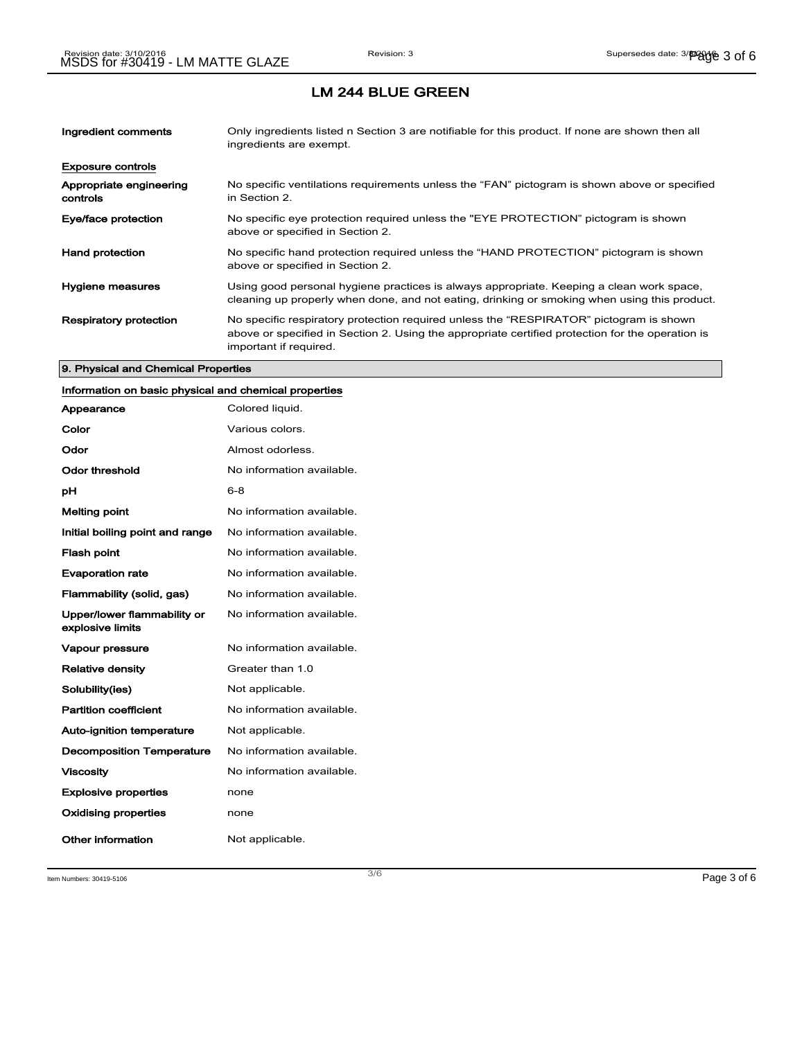| Ingredient comments                 | Only ingredients listed n Section 3 are notifiable for this product. If none are shown then all<br>ingredients are exempt.                                                                                           |
|-------------------------------------|----------------------------------------------------------------------------------------------------------------------------------------------------------------------------------------------------------------------|
| <b>Exposure controls</b>            |                                                                                                                                                                                                                      |
| Appropriate engineering<br>controls | No specific ventilations requirements unless the "FAN" pictogram is shown above or specified<br>in Section 2.                                                                                                        |
| Eye/face protection                 | No specific eye protection required unless the "EYE PROTECTION" pictogram is shown<br>above or specified in Section 2.                                                                                               |
| <b>Hand protection</b>              | No specific hand protection required unless the "HAND PROTECTION" pictogram is shown<br>above or specified in Section 2.                                                                                             |
| Hygiene measures                    | Using good personal hygiene practices is always appropriate. Keeping a clean work space,<br>cleaning up properly when done, and not eating, drinking or smoking when using this product.                             |
| <b>Respiratory protection</b>       | No specific respiratory protection required unless the "RESPIRATOR" pictogram is shown<br>above or specified in Section 2. Using the appropriate certified protection for the operation is<br>important if required. |

### 9. Physical and Chemical Properties

## Information on basic physical and chemical properties

| Appearance                                      | Colored liquid.           |
|-------------------------------------------------|---------------------------|
| Color                                           | Various colors.           |
| Odor                                            | Almost odorless.          |
| Odor threshold                                  | No information available. |
| рH                                              | 6-8                       |
| <b>Melting point</b>                            | No information available. |
| Initial boiling point and range                 | No information available. |
| <b>Flash point</b>                              | No information available. |
| <b>Evaporation rate</b>                         | No information available. |
| Flammability (solid, gas)                       | No information available. |
| Upper/lower flammability or<br>explosive limits | No information available. |
| <b>Vapour pressure</b>                          | No information available. |
| <b>Relative density</b>                         | Greater than 1.0          |
| Solubility(ies)                                 | Not applicable.           |
| <b>Partition coefficient</b>                    | No information available. |
| <b>Auto-ignition temperature</b>                | Not applicable.           |
| <b>Decomposition Temperature</b>                | No information available. |
| <b>Viscosity</b>                                | No information available. |
| <b>Explosive properties</b>                     | none                      |
| <b>Oxidising properties</b>                     | none                      |
| Other information                               | Not applicable.           |

Item Numbers:  $30419-5106$   $Page 3 of 6$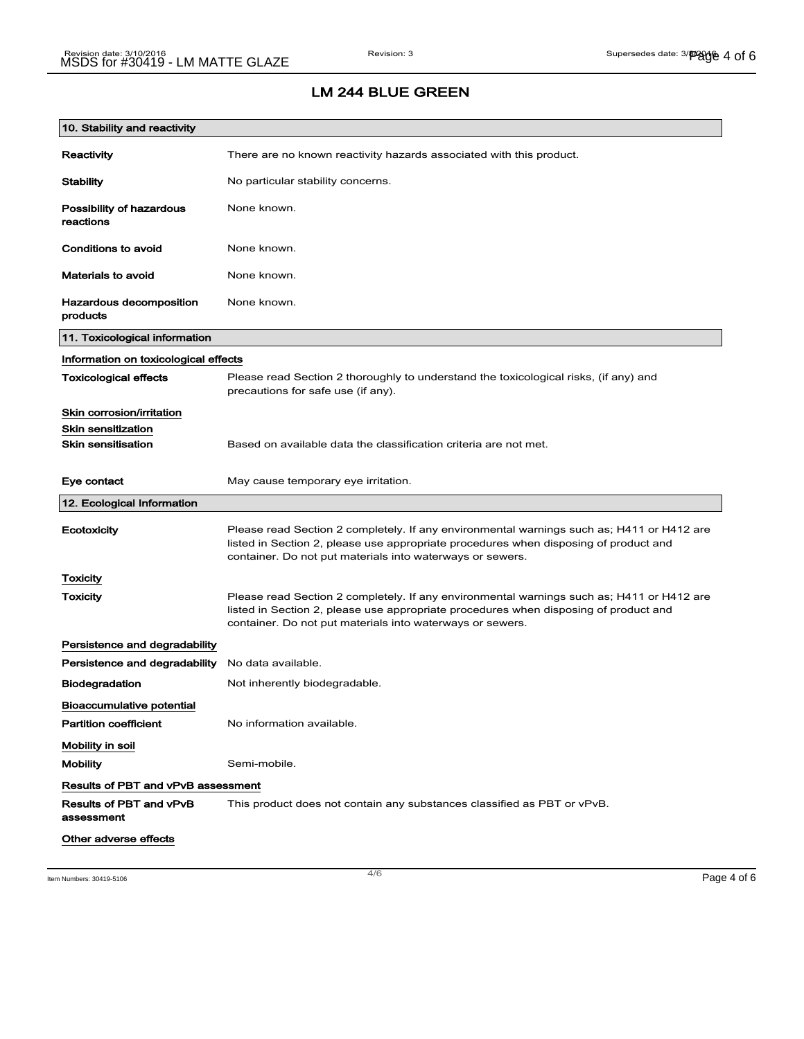# LM 244 BLUE GREEN

| 10. Stability and reactivity              |                                                                                                                                                                                                                                                |
|-------------------------------------------|------------------------------------------------------------------------------------------------------------------------------------------------------------------------------------------------------------------------------------------------|
| Reactivity                                | There are no known reactivity hazards associated with this product.                                                                                                                                                                            |
| <b>Stability</b>                          | No particular stability concerns.                                                                                                                                                                                                              |
| Possibility of hazardous<br>reactions     | None known.                                                                                                                                                                                                                                    |
| Conditions to avoid                       | None known.                                                                                                                                                                                                                                    |
| <b>Materials to avoid</b>                 | None known.                                                                                                                                                                                                                                    |
| Hazardous decomposition<br>products       | None known.                                                                                                                                                                                                                                    |
| 11. Toxicological information             |                                                                                                                                                                                                                                                |
| Information on toxicological effects      |                                                                                                                                                                                                                                                |
| <b>Toxicological effects</b>              | Please read Section 2 thoroughly to understand the toxicological risks, (if any) and<br>precautions for safe use (if any).                                                                                                                     |
| Skin corrosion/irritation                 |                                                                                                                                                                                                                                                |
| <b>Skin sensitization</b>                 |                                                                                                                                                                                                                                                |
| <b>Skin sensitisation</b>                 | Based on available data the classification criteria are not met.                                                                                                                                                                               |
| Eye contact                               | May cause temporary eye irritation.                                                                                                                                                                                                            |
| 12. Ecological Information                |                                                                                                                                                                                                                                                |
| Ecotoxicity                               | Please read Section 2 completely. If any environmental warnings such as; H411 or H412 are<br>listed in Section 2, please use appropriate procedures when disposing of product and<br>container. Do not put materials into waterways or sewers. |
| <b>Toxicity</b>                           |                                                                                                                                                                                                                                                |
| Toxicity                                  | Please read Section 2 completely. If any environmental warnings such as; H411 or H412 are<br>listed in Section 2, please use appropriate procedures when disposing of product and<br>container. Do not put materials into waterways or sewers. |
| Persistence and degradability             |                                                                                                                                                                                                                                                |
| Persistence and degradability             | No data available.                                                                                                                                                                                                                             |
| <b>Biodegradation</b>                     | Not inherently biodegradable.                                                                                                                                                                                                                  |
| <b>Bioaccumulative potential</b>          |                                                                                                                                                                                                                                                |
| <b>Partition coefficient</b>              | No information available.                                                                                                                                                                                                                      |
| Mobility in soil                          |                                                                                                                                                                                                                                                |
| <b>Mobility</b>                           | Semi-mobile.                                                                                                                                                                                                                                   |
| <b>Results of PBT and vPvB assessment</b> |                                                                                                                                                                                                                                                |
| Results of PBT and vPvB<br>assessment     | This product does not contain any substances classified as PBT or vPvB.                                                                                                                                                                        |
| Other adverse effects                     |                                                                                                                                                                                                                                                |

Item Numbers:  $30419-5106$   $Page 4 of 6$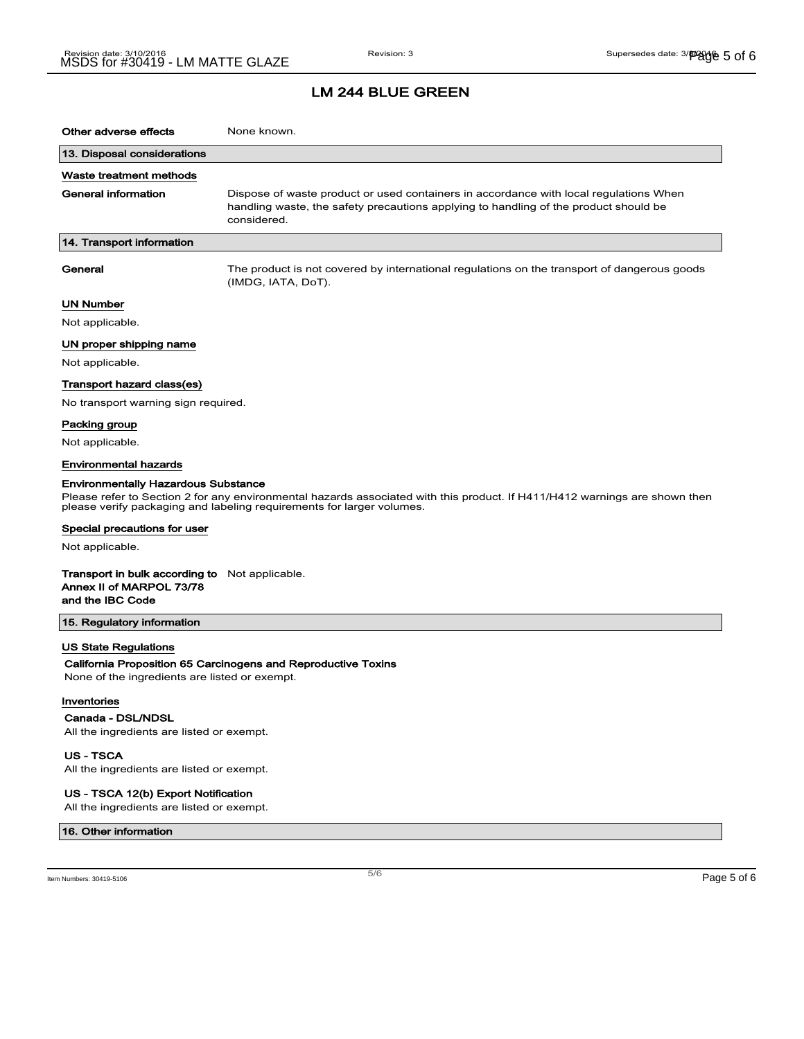| Other adverse effects                                                                                 | None known.                                                                                                                                                                                         |
|-------------------------------------------------------------------------------------------------------|-----------------------------------------------------------------------------------------------------------------------------------------------------------------------------------------------------|
| 13. Disposal considerations                                                                           |                                                                                                                                                                                                     |
| Waste treatment methods                                                                               |                                                                                                                                                                                                     |
| General information                                                                                   | Dispose of waste product or used containers in accordance with local regulations When<br>handling waste, the safety precautions applying to handling of the product should be<br>considered.        |
| 14. Transport information                                                                             |                                                                                                                                                                                                     |
| General                                                                                               | The product is not covered by international regulations on the transport of dangerous goods<br>(IMDG, IATA, DoT).                                                                                   |
| UN Number                                                                                             |                                                                                                                                                                                                     |
| Not applicable.                                                                                       |                                                                                                                                                                                                     |
| UN proper shipping name                                                                               |                                                                                                                                                                                                     |
| Not applicable.                                                                                       |                                                                                                                                                                                                     |
| Transport hazard class(es)                                                                            |                                                                                                                                                                                                     |
| No transport warning sign required.                                                                   |                                                                                                                                                                                                     |
| Packing group                                                                                         |                                                                                                                                                                                                     |
| Not applicable.                                                                                       |                                                                                                                                                                                                     |
| <b>Environmental hazards</b>                                                                          |                                                                                                                                                                                                     |
| <b>Environmentally Hazardous Substance</b>                                                            | Please refer to Section 2 for any environmental hazards associated with this product. If H411/H412 warnings are shown then<br>please verify packaging and labeling requirements for larger volumes. |
| Special precautions for user                                                                          |                                                                                                                                                                                                     |
| Not applicable.                                                                                       |                                                                                                                                                                                                     |
| <b>Transport in bulk according to</b> Not applicable.<br>Annex II of MARPOL 73/78<br>and the IBC Code |                                                                                                                                                                                                     |
| 15. Regulatory information                                                                            |                                                                                                                                                                                                     |
| US State Regulations<br>None of the ingredients are listed or exempt.                                 | California Proposition 65 Carcinogens and Reproductive Toxins                                                                                                                                       |
| Inventories<br>Canada - DSL/NDSL<br>All the ingredients are listed or exempt.                         |                                                                                                                                                                                                     |
| <b>US - TSCA</b>                                                                                      |                                                                                                                                                                                                     |

All the ingredients are listed or exempt.

### US - TSCA 12(b) Export Notification

All the ingredients are listed or exempt.

#### 16. Other information